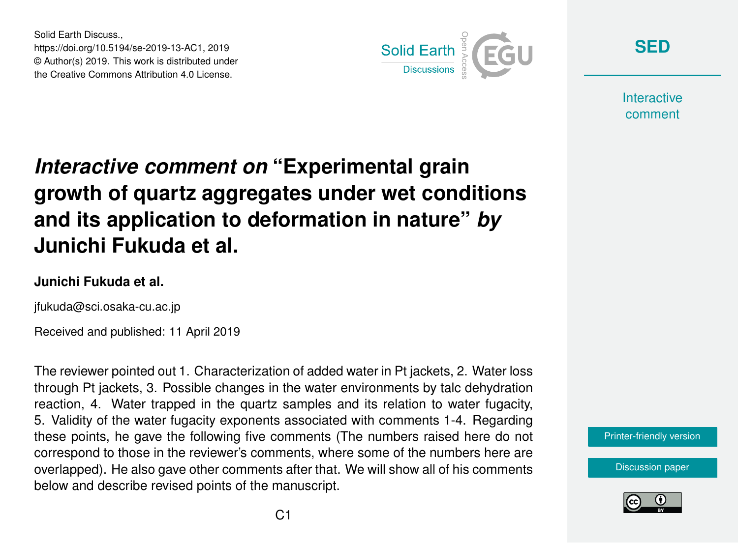Solid Earth Discuss., https://doi.org/10.5194/se-2019-13-AC1, 2019 © Author(s) 2019. This work is distributed under the Creative Commons Attribution 4.0 License.



**[SED](https://www.solid-earth-discuss.net/)**

**Interactive** comment

# *Interactive comment on* **"Experimental grain growth of quartz aggregates under wet conditions and its application to deformation in nature"** *by* **Junichi Fukuda et al.**

#### **Junichi Fukuda et al.**

jfukuda@sci.osaka-cu.ac.jp

Received and published: 11 April 2019

The reviewer pointed out 1. Characterization of added water in Pt jackets, 2. Water loss through Pt jackets, 3. Possible changes in the water environments by talc dehydration reaction, 4. Water trapped in the quartz samples and its relation to water fugacity, 5. Validity of the water fugacity exponents associated with comments 1-4. Regarding these points, he gave the following five comments (The numbers raised here do not correspond to those in the reviewer's comments, where some of the numbers here are overlapped). He also gave other comments after that. We will show all of his comments below and describe revised points of the manuscript.

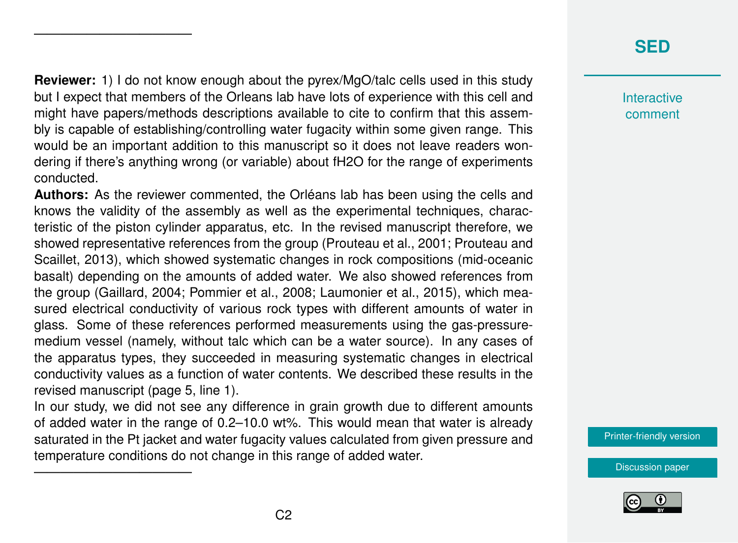## **[SED](https://www.solid-earth-discuss.net/)**

**Interactive** comment

[Printer-friendly version](https://www.solid-earth-discuss.net/se-2019-13/se-2019-13-AC1-print.pdf)

[Discussion paper](https://www.solid-earth-discuss.net/se-2019-13)

**Reviewer:** 1) I do not know enough about the pyrex/MgO/talc cells used in this study but I expect that members of the Orleans lab have lots of experience with this cell and might have papers/methods descriptions available to cite to confirm that this assembly is capable of establishing/controlling water fugacity within some given range. This would be an important addition to this manuscript so it does not leave readers wondering if there's anything wrong (or variable) about fH2O for the range of experiments conducted.

————————————

————————————

**Authors:** As the reviewer commented, the Orléans lab has been using the cells and knows the validity of the assembly as well as the experimental techniques, characteristic of the piston cylinder apparatus, etc. In the revised manuscript therefore, we showed representative references from the group (Prouteau et al., 2001; Prouteau and Scaillet, 2013), which showed systematic changes in rock compositions (mid-oceanic basalt) depending on the amounts of added water. We also showed references from the group (Gaillard, 2004; Pommier et al., 2008; Laumonier et al., 2015), which measured electrical conductivity of various rock types with different amounts of water in glass. Some of these references performed measurements using the gas-pressuremedium vessel (namely, without talc which can be a water source). In any cases of the apparatus types, they succeeded in measuring systematic changes in electrical conductivity values as a function of water contents. We described these results in the revised manuscript (page 5, line 1).

In our study, we did not see any difference in grain growth due to different amounts of added water in the range of 0.2–10.0 wt%. This would mean that water is already saturated in the Pt jacket and water fugacity values calculated from given pressure and temperature conditions do not change in this range of added water.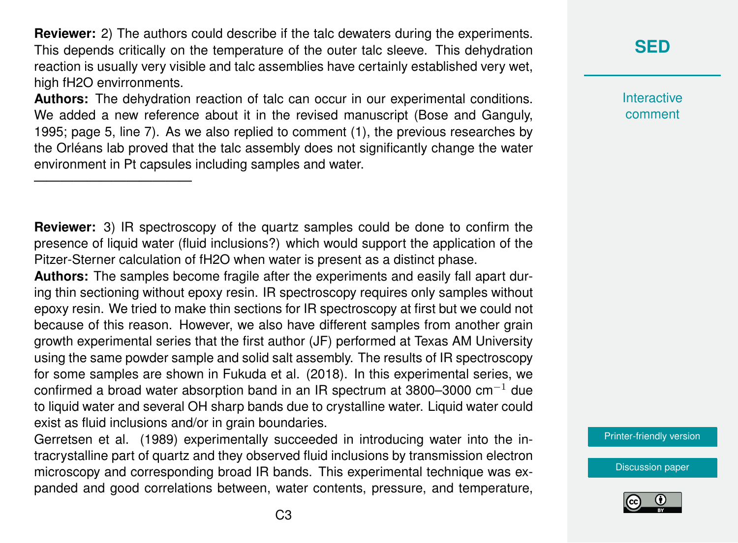**Reviewer:** 2) The authors could describe if the talc dewaters during the experiments. This depends critically on the temperature of the outer talc sleeve. This dehydration reaction is usually very visible and talc assemblies have certainly established very wet, high fH2O envirronments.

**Authors:** The dehydration reaction of talc can occur in our experimental conditions. We added a new reference about it in the revised manuscript (Bose and Ganguly, 1995; page 5, line 7). As we also replied to comment (1), the previous researches by the Orléans lab proved that the talc assembly does not significantly change the water environment in Pt capsules including samples and water.

————————————

**Reviewer:** 3) IR spectroscopy of the quartz samples could be done to confirm the presence of liquid water (fluid inclusions?) which would support the application of the Pitzer-Sterner calculation of fH2O when water is present as a distinct phase.

**Authors:** The samples become fragile after the experiments and easily fall apart during thin sectioning without epoxy resin. IR spectroscopy requires only samples without epoxy resin. We tried to make thin sections for IR spectroscopy at first but we could not because of this reason. However, we also have different samples from another grain growth experimental series that the first author (JF) performed at Texas AM University using the same powder sample and solid salt assembly. The results of IR spectroscopy for some samples are shown in Fukuda et al. (2018). In this experimental series, we confirmed a broad water absorption band in an IR spectrum at 3800–3000 cm<sup>-1</sup> due to liquid water and several OH sharp bands due to crystalline water. Liquid water could exist as fluid inclusions and/or in grain boundaries.

Gerretsen et al. (1989) experimentally succeeded in introducing water into the intracrystalline part of quartz and they observed fluid inclusions by transmission electron microscopy and corresponding broad IR bands. This experimental technique was expanded and good correlations between, water contents, pressure, and temperature, **Interactive** comment

[Printer-friendly version](https://www.solid-earth-discuss.net/se-2019-13/se-2019-13-AC1-print.pdf)

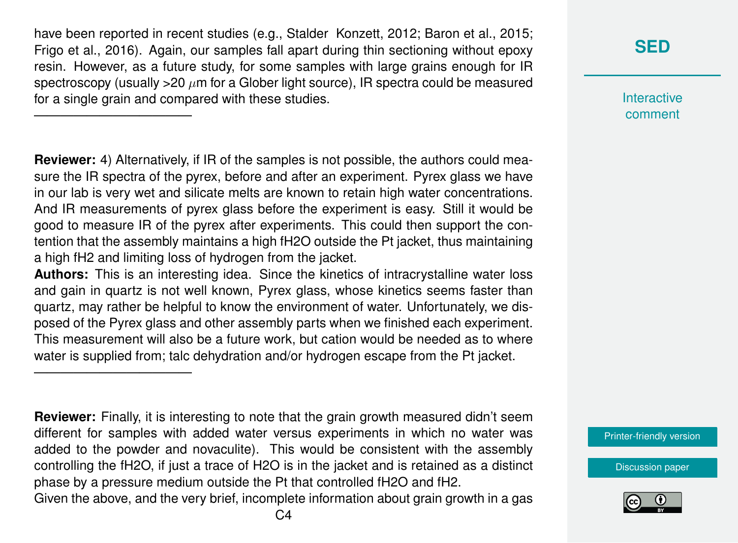have been reported in recent studies (e.g., Stalder Konzett, 2012; Baron et al., 2015; Frigo et al., 2016). Again, our samples fall apart during thin sectioning without epoxy resin. However, as a future study, for some samples with large grains enough for IR spectroscopy (usually  $>20 \mu m$  for a Glober light source), IR spectra could be measured for a single grain and compared with these studies.

————————————

————————————

**Reviewer:** 4) Alternatively, if IR of the samples is not possible, the authors could measure the IR spectra of the pyrex, before and after an experiment. Pyrex glass we have in our lab is very wet and silicate melts are known to retain high water concentrations. And IR measurements of pyrex glass before the experiment is easy. Still it would be good to measure IR of the pyrex after experiments. This could then support the contention that the assembly maintains a high fH2O outside the Pt jacket, thus maintaining a high fH2 and limiting loss of hydrogen from the jacket.

**Authors:** This is an interesting idea. Since the kinetics of intracrystalline water loss and gain in quartz is not well known, Pyrex glass, whose kinetics seems faster than quartz, may rather be helpful to know the environment of water. Unfortunately, we disposed of the Pyrex glass and other assembly parts when we finished each experiment. This measurement will also be a future work, but cation would be needed as to where water is supplied from; talc dehydration and/or hydrogen escape from the Pt jacket.

**Reviewer:** Finally, it is interesting to note that the grain growth measured didn't seem different for samples with added water versus experiments in which no water was added to the powder and novaculite). This would be consistent with the assembly controlling the fH2O, if just a trace of H2O is in the jacket and is retained as a distinct phase by a pressure medium outside the Pt that controlled fH2O and fH2. Given the above, and the very brief, incomplete information about grain growth in a gas

## **[SED](https://www.solid-earth-discuss.net/)**

**Interactive** comment

[Printer-friendly version](https://www.solid-earth-discuss.net/se-2019-13/se-2019-13-AC1-print.pdf)

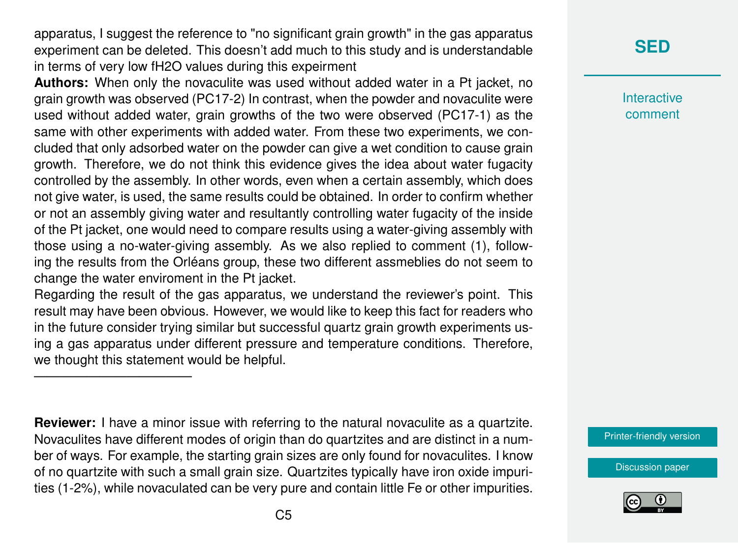apparatus, I suggest the reference to "no significant grain growth" in the gas apparatus experiment can be deleted. This doesn't add much to this study and is understandable in terms of very low fH2O values during this expeirment

**Authors:** When only the novaculite was used without added water in a Pt jacket, no grain growth was observed (PC17-2) In contrast, when the powder and novaculite were used without added water, grain growths of the two were observed (PC17-1) as the same with other experiments with added water. From these two experiments, we concluded that only adsorbed water on the powder can give a wet condition to cause grain growth. Therefore, we do not think this evidence gives the idea about water fugacity controlled by the assembly. In other words, even when a certain assembly, which does not give water, is used, the same results could be obtained. In order to confirm whether or not an assembly giving water and resultantly controlling water fugacity of the inside of the Pt jacket, one would need to compare results using a water-giving assembly with those using a no-water-giving assembly. As we also replied to comment (1), following the results from the Orléans group, these two different assmeblies do not seem to change the water enviroment in the Pt jacket.

Regarding the result of the gas apparatus, we understand the reviewer's point. This result may have been obvious. However, we would like to keep this fact for readers who in the future consider trying similar but successful quartz grain growth experiments using a gas apparatus under different pressure and temperature conditions. Therefore, we thought this statement would be helpful.

————————————

**Reviewer:** I have a minor issue with referring to the natural novaculite as a quartzite. Novaculites have different modes of origin than do quartzites and are distinct in a number of ways. For example, the starting grain sizes are only found for novaculites. I know of no quartzite with such a small grain size. Quartzites typically have iron oxide impurities (1-2%), while novaculated can be very pure and contain little Fe or other impurities.

## **[SED](https://www.solid-earth-discuss.net/)**

**Interactive** comment

[Printer-friendly version](https://www.solid-earth-discuss.net/se-2019-13/se-2019-13-AC1-print.pdf)

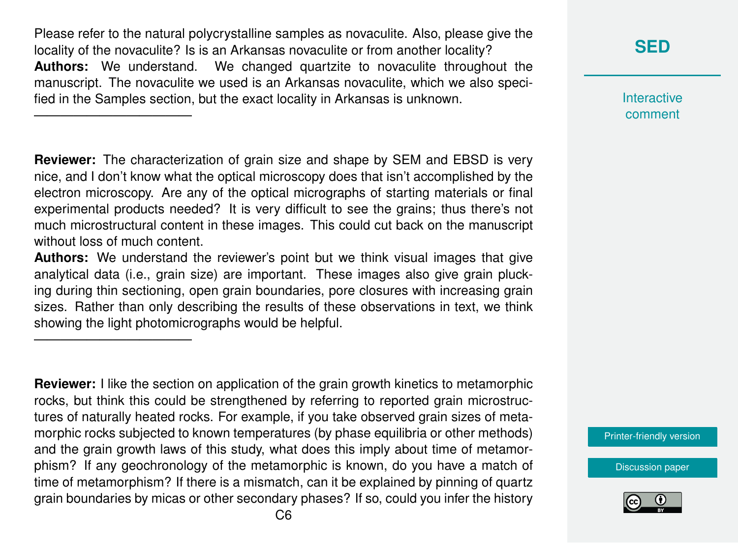Please refer to the natural polycrystalline samples as novaculite. Also, please give the locality of the novaculite? Is is an Arkansas novaculite or from another locality? **Authors:** We understand. We changed quartzite to novaculite throughout the manuscript. The novaculite we used is an Arkansas novaculite, which we also specified in the Samples section, but the exact locality in Arkansas is unknown.

————————————

————————————

**Reviewer:** The characterization of grain size and shape by SEM and EBSD is very nice, and I don't know what the optical microscopy does that isn't accomplished by the electron microscopy. Are any of the optical micrographs of starting materials or final experimental products needed? It is very difficult to see the grains; thus there's not much microstructural content in these images. This could cut back on the manuscript without loss of much content.

**Authors:** We understand the reviewer's point but we think visual images that give analytical data (i.e., grain size) are important. These images also give grain plucking during thin sectioning, open grain boundaries, pore closures with increasing grain sizes. Rather than only describing the results of these observations in text, we think showing the light photomicrographs would be helpful.

**Reviewer:** I like the section on application of the grain growth kinetics to metamorphic rocks, but think this could be strengthened by referring to reported grain microstructures of naturally heated rocks. For example, if you take observed grain sizes of metamorphic rocks subjected to known temperatures (by phase equilibria or other methods) and the grain growth laws of this study, what does this imply about time of metamorphism? If any geochronology of the metamorphic is known, do you have a match of time of metamorphism? If there is a mismatch, can it be explained by pinning of quartz grain boundaries by micas or other secondary phases? If so, could you infer the history

**[SED](https://www.solid-earth-discuss.net/)**

**Interactive** comment

[Printer-friendly version](https://www.solid-earth-discuss.net/se-2019-13/se-2019-13-AC1-print.pdf)

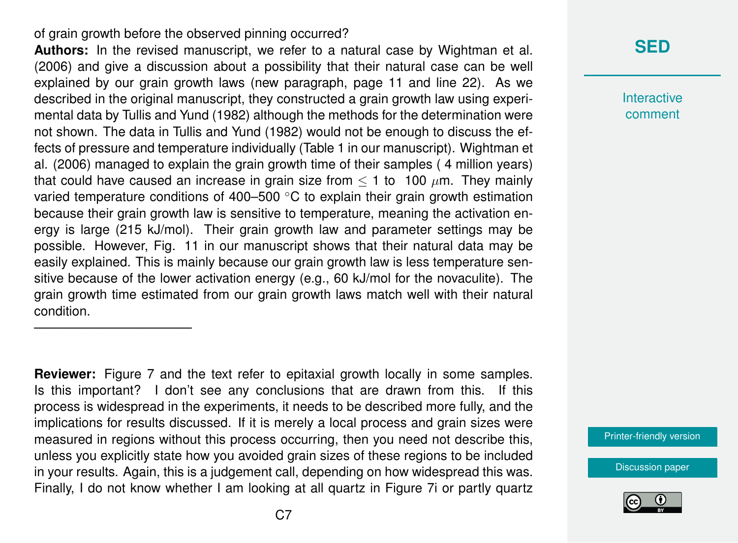#### of grain growth before the observed pinning occurred?

————————————

**Authors:** In the revised manuscript, we refer to a natural case by Wightman et al. (2006) and give a discussion about a possibility that their natural case can be well explained by our grain growth laws (new paragraph, page 11 and line 22). As we described in the original manuscript, they constructed a grain growth law using experimental data by Tullis and Yund (1982) although the methods for the determination were not shown. The data in Tullis and Yund (1982) would not be enough to discuss the effects of pressure and temperature individually (Table 1 in our manuscript). Wightman et al. (2006) managed to explain the grain growth time of their samples ( 4 million years) that could have caused an increase in grain size from  $\leq 1$  to 100  $\mu$ m. They mainly varied temperature conditions of 400–500 ◦C to explain their grain growth estimation because their grain growth law is sensitive to temperature, meaning the activation energy is large (215 kJ/mol). Their grain growth law and parameter settings may be possible. However, Fig. 11 in our manuscript shows that their natural data may be easily explained. This is mainly because our grain growth law is less temperature sensitive because of the lower activation energy (e.g., 60 kJ/mol for the novaculite). The grain growth time estimated from our grain growth laws match well with their natural condition.

**Reviewer:** Figure 7 and the text refer to epitaxial growth locally in some samples. Is this important? I don't see any conclusions that are drawn from this. If this process is widespread in the experiments, it needs to be described more fully, and the implications for results discussed. If it is merely a local process and grain sizes were measured in regions without this process occurring, then you need not describe this, unless you explicitly state how you avoided grain sizes of these regions to be included in your results. Again, this is a judgement call, depending on how widespread this was. Finally, I do not know whether I am looking at all quartz in Figure 7i or partly quartz

#### **[SED](https://www.solid-earth-discuss.net/)**

**Interactive** comment

[Printer-friendly version](https://www.solid-earth-discuss.net/se-2019-13/se-2019-13-AC1-print.pdf)